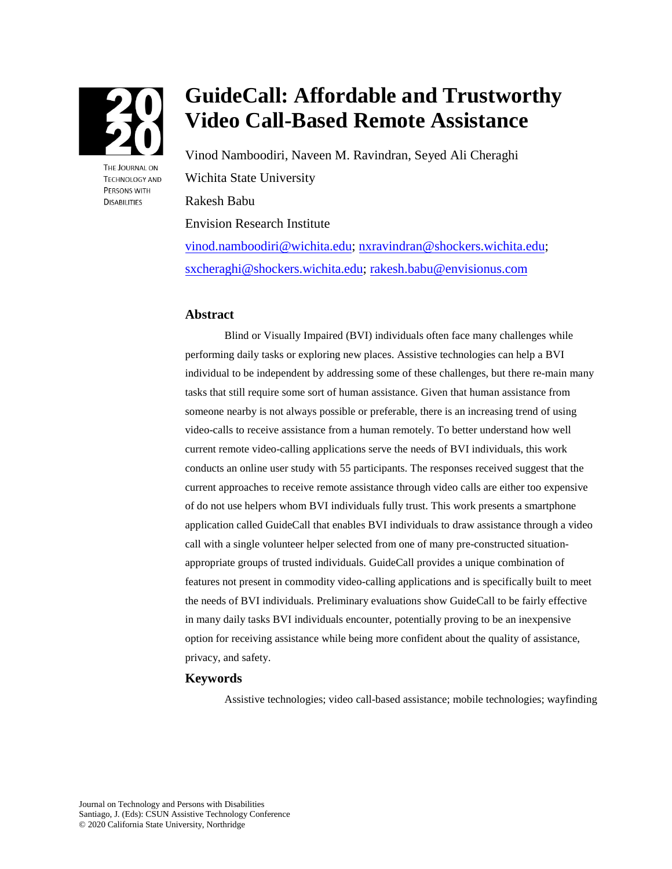

THE JOURNAL ON **TECHNOLOGY AND PERSONS WITH DISABILITIES** 

# **GuideCall: Affordable and Trustworthy Video Call-Based Remote Assistance**

Vinod Namboodiri, Naveen M. Ravindran, Seyed Ali Cheraghi Wichita State University Rakesh Babu Envision Research Institute vi[nod.namboodiri@wichita.edu; nxr](mailto:vinod.namboodiri@wichita.edu)[avindran@shockers.wichita.edu;](mailto:nxravindran@shockers.wichita.edu)

sx[cheraghi@shockers.wichita.edu; rak](mailto:sxcheraghi@shockers.wichita.edu)[esh.babu@envisionus.com](mailto:rakesh.babu@envisionus.com)

#### **Abstract**

Blind or Visually Impaired (BVI) individuals often face many challenges while performing daily tasks or exploring new places. Assistive technologies can help a BVI individual to be independent by addressing some of these challenges, but there re-main many tasks that still require some sort of human assistance. Given that human assistance from someone nearby is not always possible or preferable, there is an increasing trend of using video-calls to receive assistance from a human remotely. To better understand how well current remote video-calling applications serve the needs of BVI individuals, this work conducts an online user study with 55 participants. The responses received suggest that the current approaches to receive remote assistance through video calls are either too expensive of do not use helpers whom BVI individuals fully trust. This work presents a smartphone application called GuideCall that enables BVI individuals to draw assistance through a video call with a single volunteer helper selected from one of many pre-constructed situationappropriate groups of trusted individuals. GuideCall provides a unique combination of features not present in commodity video-calling applications and is specifically built to meet the needs of BVI individuals. Preliminary evaluations show GuideCall to be fairly effective in many daily tasks BVI individuals encounter, potentially proving to be an inexpensive option for receiving assistance while being more confident about the quality of assistance, privacy, and safety.

## **Keywords**

Assistive technologies; video call-based assistance; mobile technologies; wayfinding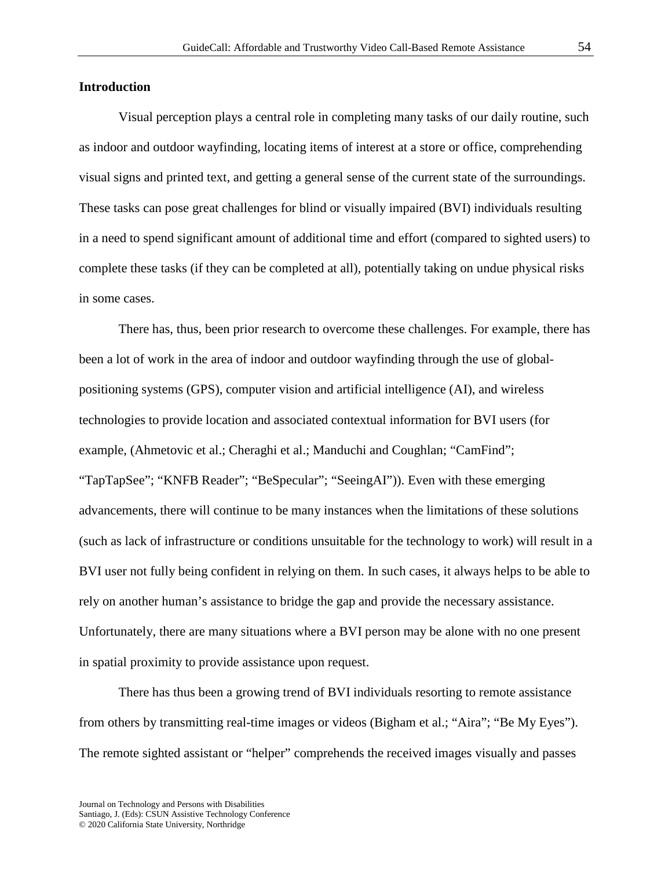## **Introduction**

Visual perception plays a central role in completing many tasks of our daily routine, such as indoor and outdoor wayfinding, locating items of interest at a store or office, comprehending visual signs and printed text, and getting a general sense of the current state of the surroundings. These tasks can pose great challenges for blind or visually impaired (BVI) individuals resulting in a need to spend significant amount of additional time and effort (compared to sighted users) to complete these tasks (if they can be completed at all), potentially taking on undue physical risks in some cases.

There has, thus, been prior research to overcome these challenges. For example, there has been a lot of work in the area of indoor and outdoor wayfinding through the use of globalpositioning systems (GPS), computer vision and artificial intelligence (AI), and wireless technologies to provide location and associated contextual information for BVI users (for example, (Ahmetovic et al.; Cheraghi et al.; Manduchi and Coughlan; "CamFind"; "TapTapSee"; "KNFB Reader"; "BeSpecular"; "SeeingAI")). Even with these emerging advancements, there will continue to be many instances when the limitations of these solutions (such as lack of infrastructure or conditions unsuitable for the technology to work) will result in a BVI user not fully being confident in relying on them. In such cases, it always helps to be able to rely on another human's assistance to bridge the gap and provide the necessary assistance. Unfortunately, there are many situations where a BVI person may be alone with no one present in spatial proximity to provide assistance upon request.

There has thus been a growing trend of BVI individuals resorting to remote assistance from others by transmitting real-time images or videos (Bigham et al.; "Aira"; "Be My Eyes"). The remote sighted assistant or "helper" comprehends the received images visually and passes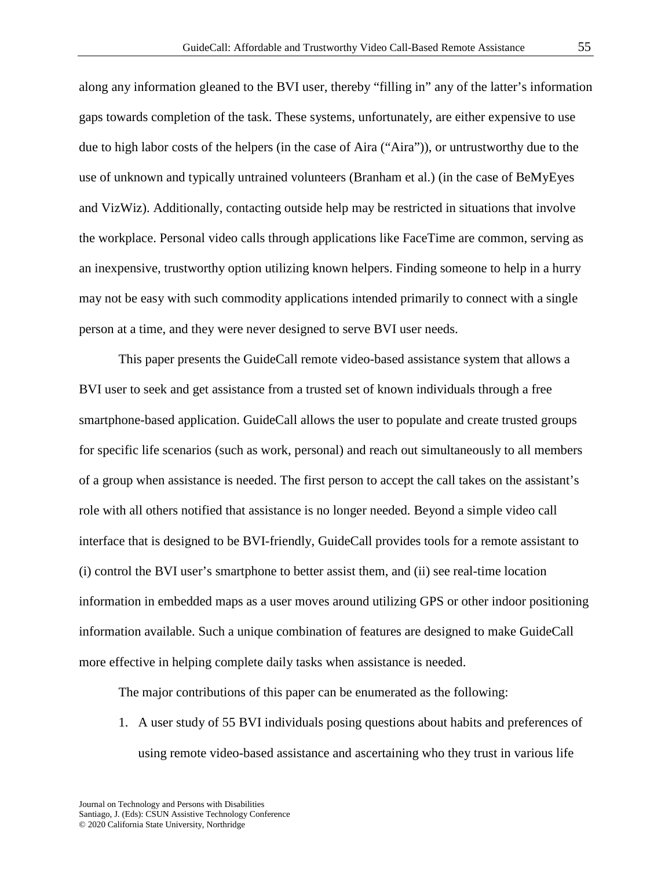along any information gleaned to the BVI user, thereby "filling in" any of the latter's information gaps towards completion of the task. These systems, unfortunately, are either expensive to use due to high labor costs of the helpers (in the case of Aira ("Aira")), or untrustworthy due to the use of unknown and typically untrained volunteers (Branham et al.) (in the case of BeMyEyes and VizWiz). Additionally, contacting outside help may be restricted in situations that involve the workplace. Personal video calls through applications like FaceTime are common, serving as an inexpensive, trustworthy option utilizing known helpers. Finding someone to help in a hurry may not be easy with such commodity applications intended primarily to connect with a single person at a time, and they were never designed to serve BVI user needs.

This paper presents the GuideCall remote video-based assistance system that allows a BVI user to seek and get assistance from a trusted set of known individuals through a free smartphone-based application. GuideCall allows the user to populate and create trusted groups for specific life scenarios (such as work, personal) and reach out simultaneously to all members of a group when assistance is needed. The first person to accept the call takes on the assistant's role with all others notified that assistance is no longer needed. Beyond a simple video call interface that is designed to be BVI-friendly, GuideCall provides tools for a remote assistant to (i) control the BVI user's smartphone to better assist them, and (ii) see real-time location information in embedded maps as a user moves around utilizing GPS or other indoor positioning information available. Such a unique combination of features are designed to make GuideCall more effective in helping complete daily tasks when assistance is needed.

The major contributions of this paper can be enumerated as the following:

1. A user study of 55 BVI individuals posing questions about habits and preferences of using remote video-based assistance and ascertaining who they trust in various life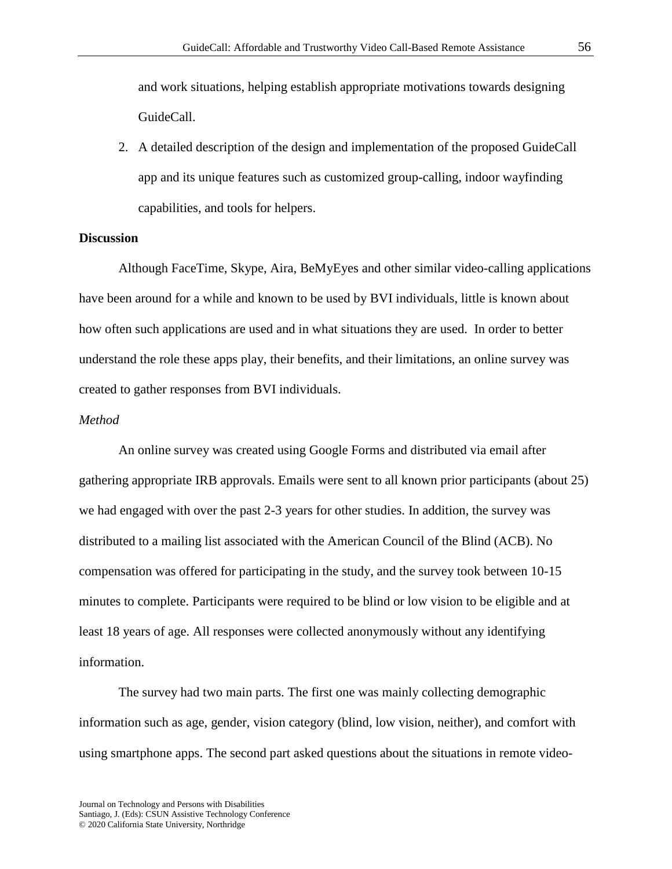and work situations, helping establish appropriate motivations towards designing GuideCall.

2. A detailed description of the design and implementation of the proposed GuideCall app and its unique features such as customized group-calling, indoor wayfinding capabilities, and tools for helpers.

# **Discussion**

Although FaceTime, Skype, Aira, BeMyEyes and other similar video-calling applications have been around for a while and known to be used by BVI individuals, little is known about how often such applications are used and in what situations they are used. In order to better understand the role these apps play, their benefits, and their limitations, an online survey was created to gather responses from BVI individuals.

#### *Method*

An online survey was created using Google Forms and distributed via email after gathering appropriate IRB approvals. Emails were sent to all known prior participants (about 25) we had engaged with over the past 2-3 years for other studies. In addition, the survey was distributed to a mailing list associated with the American Council of the Blind (ACB). No compensation was offered for participating in the study, and the survey took between 10-15 minutes to complete. Participants were required to be blind or low vision to be eligible and at least 18 years of age. All responses were collected anonymously without any identifying information.

The survey had two main parts. The first one was mainly collecting demographic information such as age, gender, vision category (blind, low vision, neither), and comfort with using smartphone apps. The second part asked questions about the situations in remote video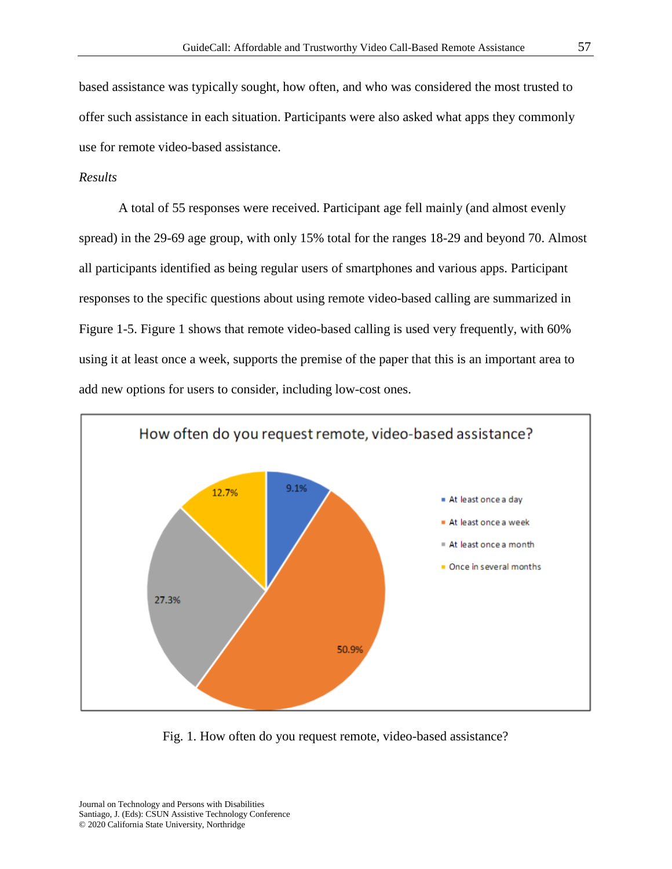based assistance was typically sought, how often, and who was considered the most trusted to offer such assistance in each situation. Participants were also asked what apps they commonly use for remote video-based assistance.

## *Results*

A total of 55 responses were received. Participant age fell mainly (and almost evenly spread) in the 29-69 age group, with only 15% total for the ranges 18-29 and beyond 70. Almost all participants identified as being regular users of smartphones and various apps. Participant responses to the specific questions about using remote video-based calling are summarized in Figure 1-5. Figure 1 shows that remote video-based calling is used very frequently, with 60% using it at least once a week, supports the premise of the paper that this is an important area to add new options for users to consider, including low-cost ones.



Fig. 1. How often do you request remote, video-based assistance?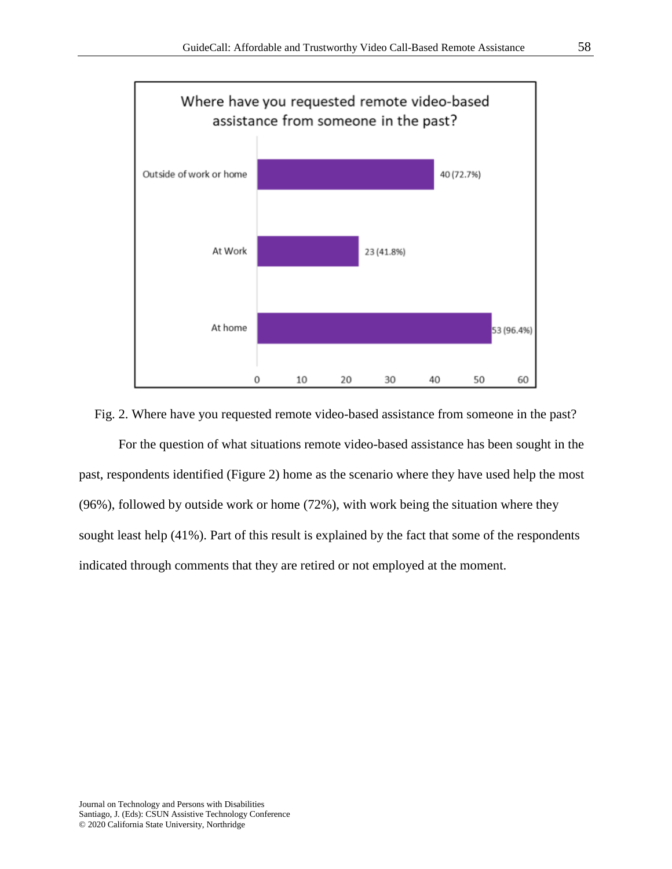

#### Fig. 2. Where have you requested remote video-based assistance from someone in the past?

For the question of what situations remote video-based assistance has been sought in the past, respondents identified (Figure 2) home as the scenario where they have used help the most (96%), followed by outside work or home (72%), with work being the situation where they sought least help (41%). Part of this result is explained by the fact that some of the respondents indicated through comments that they are retired or not employed at the moment.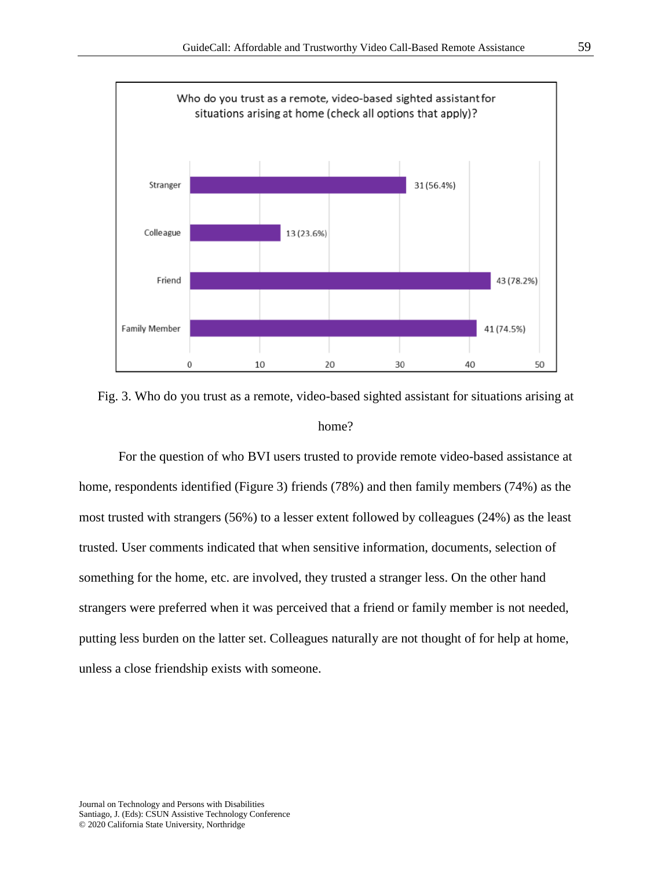

Fig. 3. Who do you trust as a remote, video-based sighted assistant for situations arising at home?

For the question of who BVI users trusted to provide remote video-based assistance at home, respondents identified (Figure 3) friends (78%) and then family members (74%) as the most trusted with strangers (56%) to a lesser extent followed by colleagues (24%) as the least trusted. User comments indicated that when sensitive information, documents, selection of something for the home, etc. are involved, they trusted a stranger less. On the other hand strangers were preferred when it was perceived that a friend or family member is not needed, putting less burden on the latter set. Colleagues naturally are not thought of for help at home, unless a close friendship exists with someone.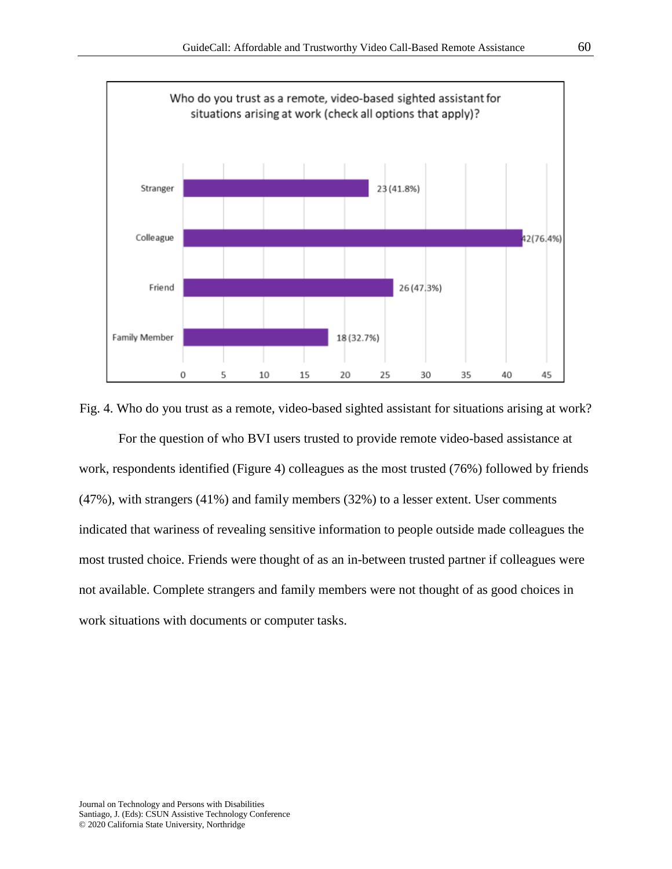

Fig. 4. Who do you trust as a remote, video-based sighted assistant for situations arising at work?

For the question of who BVI users trusted to provide remote video-based assistance at work, respondents identified (Figure 4) colleagues as the most trusted (76%) followed by friends (47%), with strangers (41%) and family members (32%) to a lesser extent. User comments indicated that wariness of revealing sensitive information to people outside made colleagues the most trusted choice. Friends were thought of as an in-between trusted partner if colleagues were not available. Complete strangers and family members were not thought of as good choices in work situations with documents or computer tasks.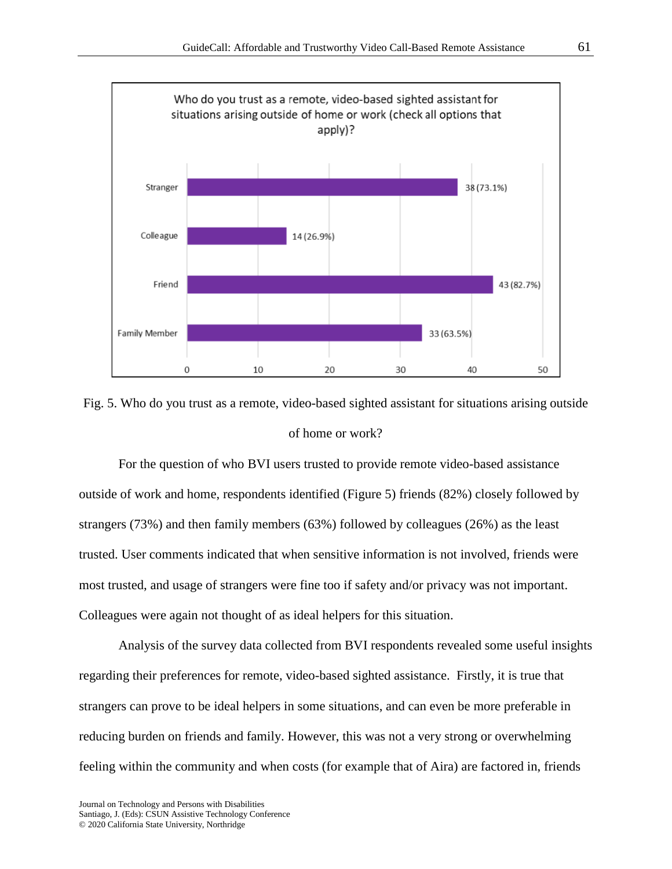

Fig. 5. Who do you trust as a remote, video-based sighted assistant for situations arising outside of home or work?

For the question of who BVI users trusted to provide remote video-based assistance outside of work and home, respondents identified (Figure 5) friends (82%) closely followed by strangers (73%) and then family members (63%) followed by colleagues (26%) as the least trusted. User comments indicated that when sensitive information is not involved, friends were most trusted, and usage of strangers were fine too if safety and/or privacy was not important. Colleagues were again not thought of as ideal helpers for this situation.

Analysis of the survey data collected from BVI respondents revealed some useful insights regarding their preferences for remote, video-based sighted assistance. Firstly, it is true that strangers can prove to be ideal helpers in some situations, and can even be more preferable in reducing burden on friends and family. However, this was not a very strong or overwhelming feeling within the community and when costs (for example that of Aira) are factored in, friends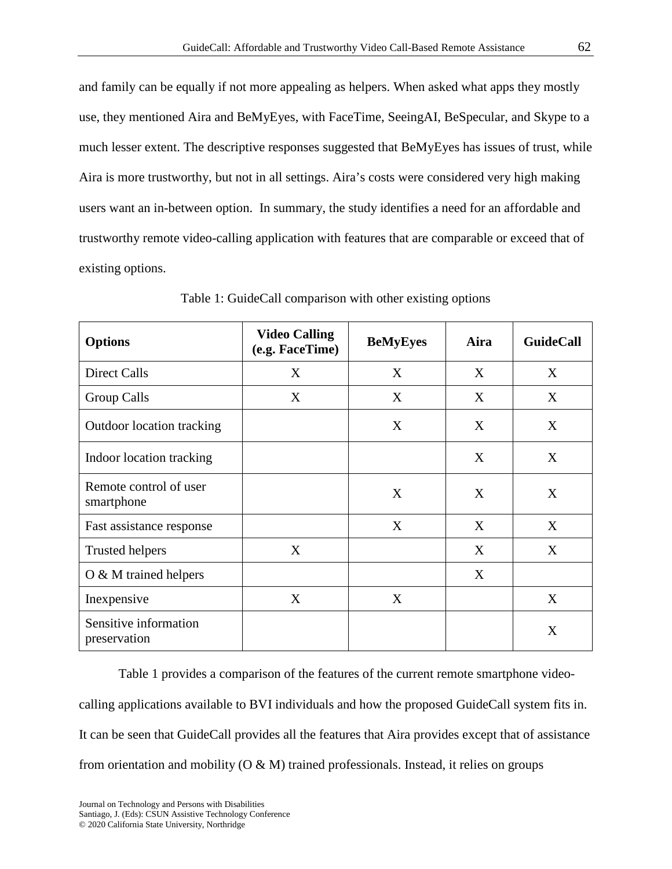and family can be equally if not more appealing as helpers. When asked what apps they mostly use, they mentioned Aira and BeMyEyes, with FaceTime, SeeingAI, BeSpecular, and Skype to a much lesser extent. The descriptive responses suggested that BeMyEyes has issues of trust, while Aira is more trustworthy, but not in all settings. Aira's costs were considered very high making users want an in-between option. In summary, the study identifies a need for an affordable and trustworthy remote video-calling application with features that are comparable or exceed that of existing options.

| <b>Options</b>                        | <b>Video Calling</b><br>(e.g. FaceTime) | <b>BeMyEyes</b> | Aira | <b>GuideCall</b> |
|---------------------------------------|-----------------------------------------|-----------------|------|------------------|
| <b>Direct Calls</b>                   | X                                       | X               | X    | X                |
| Group Calls                           | X                                       | X               | X    | X                |
| <b>Outdoor location tracking</b>      |                                         | X               | X    | X                |
| Indoor location tracking              |                                         |                 | X    | X                |
| Remote control of user<br>smartphone  |                                         | X               | X    | X                |
| Fast assistance response              |                                         | X               | X    | X                |
| <b>Trusted helpers</b>                | X                                       |                 | X    | X                |
| $O & M$ trained helpers               |                                         |                 | X    |                  |
| Inexpensive                           | X                                       | X               |      | X                |
| Sensitive information<br>preservation |                                         |                 |      | X                |

Table 1: GuideCall comparison with other existing options

Table 1 provides a comparison of the features of the current remote smartphone videocalling applications available to BVI individuals and how the proposed GuideCall system fits in. It can be seen that GuideCall provides all the features that Aira provides except that of assistance from orientation and mobility  $(O & M)$  trained professionals. Instead, it relies on groups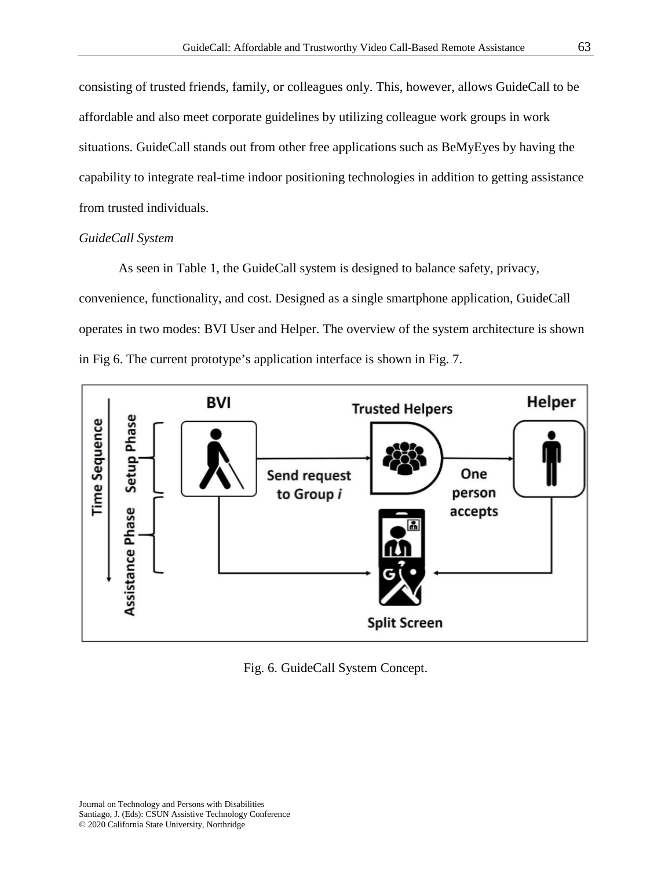consisting of trusted friends, family, or colleagues only. This, however, allows GuideCall to be affordable and also meet corporate guidelines by utilizing colleague work groups in work situations. GuideCall stands out from other free applications such as BeMyEyes by having the capability to integrate real-time indoor positioning technologies in addition to getting assistance from trusted individuals.

#### *GuideCall System*

As seen in Table 1, the GuideCall system is designed to balance safety, privacy, convenience, functionality, and cost. Designed as a single smartphone application, GuideCall operates in two modes: BVI User and Helper. The overview of the system architecture is shown in Fig 6. The current prototype's application interface is shown in Fig. 7.



Fig. 6. GuideCall System Concept.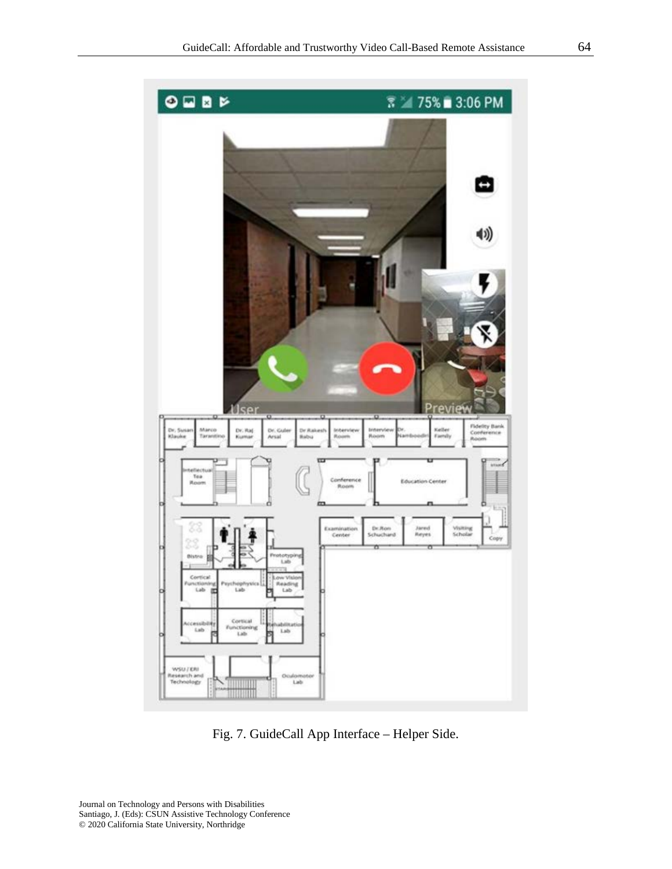

Fig. 7. GuideCall App Interface – Helper Side.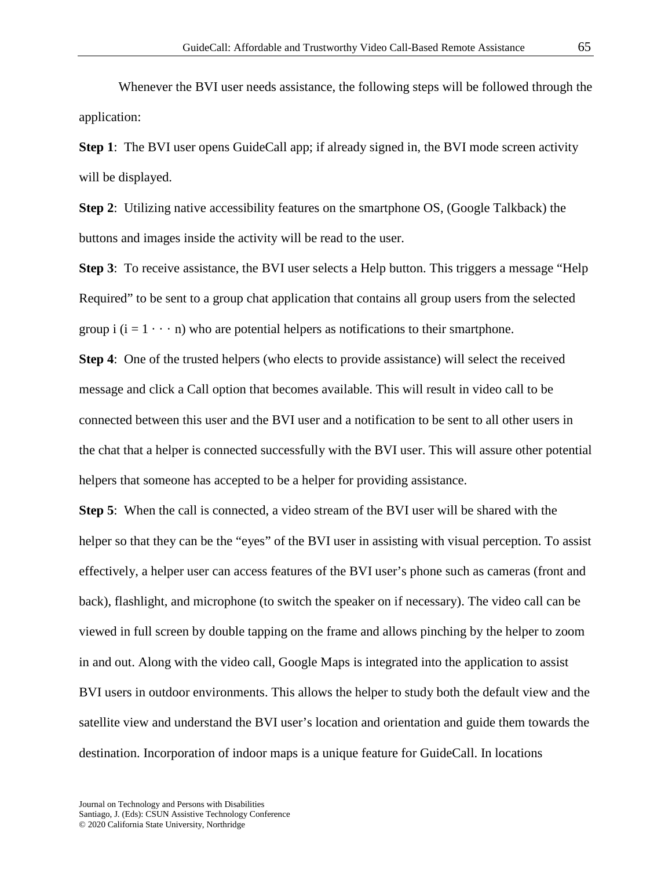Whenever the BVI user needs assistance, the following steps will be followed through the application:

**Step 1**: The BVI user opens GuideCall app; if already signed in, the BVI mode screen activity will be displayed.

**Step 2**: Utilizing native accessibility features on the smartphone OS, (Google Talkback) the buttons and images inside the activity will be read to the user.

**Step 3**: To receive assistance, the BVI user selects a Help button. This triggers a message "Help" Required" to be sent to a group chat application that contains all group users from the selected group i  $(i = 1 \cdots n)$  who are potential helpers as notifications to their smartphone.

**Step 4**: One of the trusted helpers (who elects to provide assistance) will select the received message and click a Call option that becomes available. This will result in video call to be connected between this user and the BVI user and a notification to be sent to all other users in the chat that a helper is connected successfully with the BVI user. This will assure other potential helpers that someone has accepted to be a helper for providing assistance.

**Step 5**: When the call is connected, a video stream of the BVI user will be shared with the helper so that they can be the "eyes" of the BVI user in assisting with visual perception. To assist effectively, a helper user can access features of the BVI user's phone such as cameras (front and back), flashlight, and microphone (to switch the speaker on if necessary). The video call can be viewed in full screen by double tapping on the frame and allows pinching by the helper to zoom in and out. Along with the video call, Google Maps is integrated into the application to assist BVI users in outdoor environments. This allows the helper to study both the default view and the satellite view and understand the BVI user's location and orientation and guide them towards the destination. Incorporation of indoor maps is a unique feature for GuideCall. In locations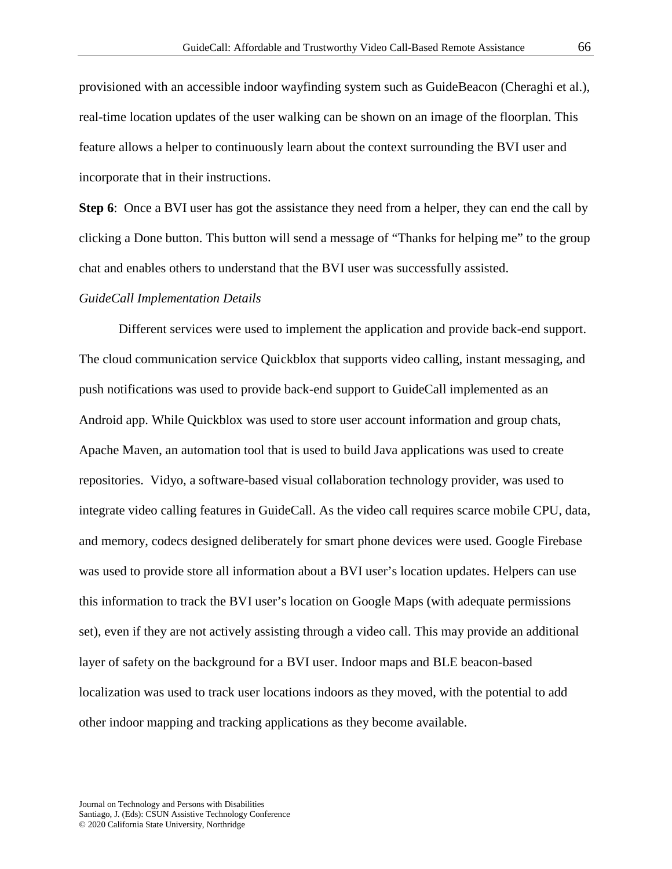provisioned with an accessible indoor wayfinding system such as GuideBeacon (Cheraghi et al.), real-time location updates of the user walking can be shown on an image of the floorplan. This feature allows a helper to continuously learn about the context surrounding the BVI user and incorporate that in their instructions.

**Step 6**: Once a BVI user has got the assistance they need from a helper, they can end the call by clicking a Done button. This button will send a message of "Thanks for helping me" to the group chat and enables others to understand that the BVI user was successfully assisted.

#### *GuideCall Implementation Details*

Different services were used to implement the application and provide back-end support. The cloud communication service Quickblox that supports video calling, instant messaging, and push notifications was used to provide back-end support to GuideCall implemented as an Android app. While Quickblox was used to store user account information and group chats, Apache Maven, an automation tool that is used to build Java applications was used to create repositories. Vidyo, a software-based visual collaboration technology provider, was used to integrate video calling features in GuideCall. As the video call requires scarce mobile CPU, data, and memory, codecs designed deliberately for smart phone devices were used. Google Firebase was used to provide store all information about a BVI user's location updates. Helpers can use this information to track the BVI user's location on Google Maps (with adequate permissions set), even if they are not actively assisting through a video call. This may provide an additional layer of safety on the background for a BVI user. Indoor maps and BLE beacon-based localization was used to track user locations indoors as they moved, with the potential to add other indoor mapping and tracking applications as they become available.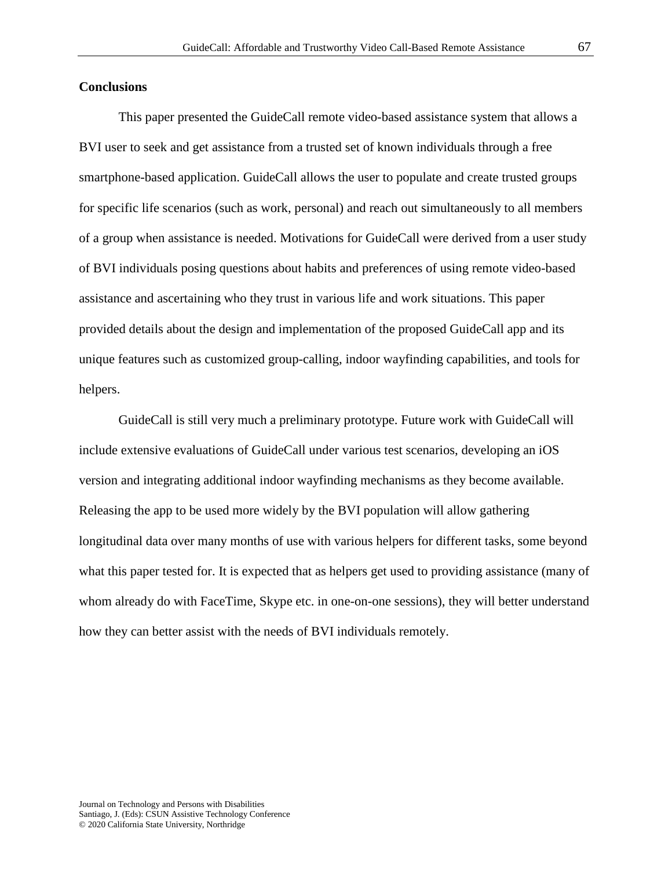## **Conclusions**

This paper presented the GuideCall remote video-based assistance system that allows a BVI user to seek and get assistance from a trusted set of known individuals through a free smartphone-based application. GuideCall allows the user to populate and create trusted groups for specific life scenarios (such as work, personal) and reach out simultaneously to all members of a group when assistance is needed. Motivations for GuideCall were derived from a user study of BVI individuals posing questions about habits and preferences of using remote video-based assistance and ascertaining who they trust in various life and work situations. This paper provided details about the design and implementation of the proposed GuideCall app and its unique features such as customized group-calling, indoor wayfinding capabilities, and tools for helpers.

GuideCall is still very much a preliminary prototype. Future work with GuideCall will include extensive evaluations of GuideCall under various test scenarios, developing an iOS version and integrating additional indoor wayfinding mechanisms as they become available. Releasing the app to be used more widely by the BVI population will allow gathering longitudinal data over many months of use with various helpers for different tasks, some beyond what this paper tested for. It is expected that as helpers get used to providing assistance (many of whom already do with FaceTime, Skype etc. in one-on-one sessions), they will better understand how they can better assist with the needs of BVI individuals remotely.